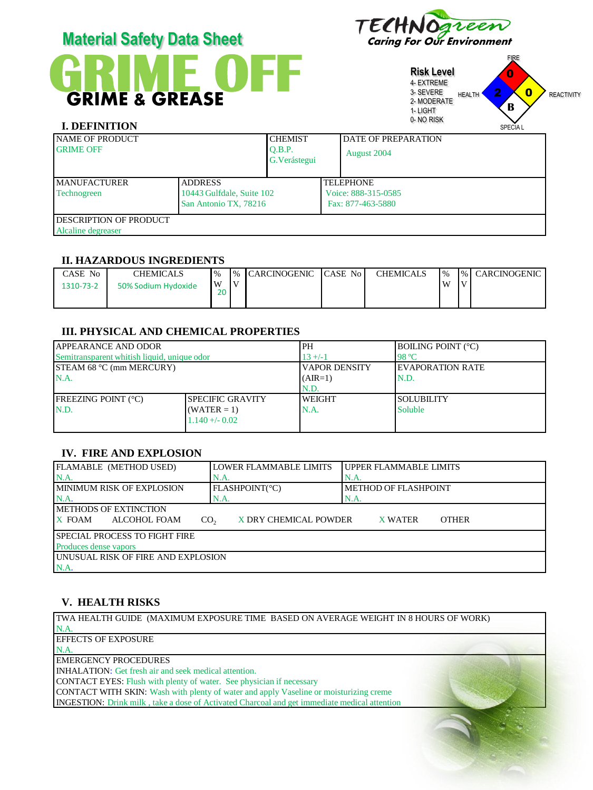| <b>Material Safety Data Sheet</b>                 |                           |                         | TECHNOGLEEN |                            |                                                                                                                                                        |                   |  |
|---------------------------------------------------|---------------------------|-------------------------|-------------|----------------------------|--------------------------------------------------------------------------------------------------------------------------------------------------------|-------------------|--|
| <b>GRIME &amp; GREASE</b><br><b>I. DEFINITION</b> | W                         |                         |             |                            | <b>FIRE</b><br><b>Risk Level</b><br>0<br>4- EXTREME<br>$\bf{0}$<br>3- SEVERE<br>HEALTH '<br>2- MODERATE<br>B<br>1-LIGHT<br>0-NO RISK<br><b>SPECIAL</b> | <b>REACTIVITY</b> |  |
| <b>NAME OF PRODUCT</b>                            |                           | <b>CHEMIST</b>          |             | <b>DATE OF PREPARATION</b> |                                                                                                                                                        |                   |  |
| <b>GRIME OFF</b>                                  |                           | O.B.P.<br>G. Verástegui |             | August 2004                |                                                                                                                                                        |                   |  |
| <b>MANUFACTURER</b>                               | <b>ADDRESS</b>            |                         |             | <b>TELEPHONE</b>           |                                                                                                                                                        |                   |  |
| Technogreen                                       | 10443 Gulfdale, Suite 102 |                         |             | Voice: 888-315-0585        |                                                                                                                                                        |                   |  |
|                                                   | San Antonio TX, 78216     |                         |             | Fax: 877-463-5880          |                                                                                                                                                        |                   |  |
| DESCRIPTION OF PRODUCT                            |                           |                         |             |                            |                                                                                                                                                        |                   |  |
| Alcaline degreaser                                |                           |                         |             |                            |                                                                                                                                                        |                   |  |

Alcaline degreaser

# **II. HAZARDOUS INGREDIENTS**

| CASE No   | CHEMICALS           | $^{10}$   |    | 1% CARCINOGENIC CASE No | <b>CHEMICALS</b> | $\frac{10}{6}$ |          | I% CARCINOGENIC |
|-----------|---------------------|-----------|----|-------------------------|------------------|----------------|----------|-----------------|
| 1310-73-2 | 50% Sodium Hydoxide | ٠W<br>n o | I٧ |                         |                  | W              | $\bf{v}$ |                 |

### **III. PHYSICAL AND CHEMICAL PROPERTIES**

| <b>APPEARANCE AND ODOR</b>                  |                   | PH                   | <b>BOILING POINT (°C)</b> |
|---------------------------------------------|-------------------|----------------------|---------------------------|
| Semitransparent whitish liquid, unique odor |                   | $13 + (-1)$          | 98 °C                     |
| <b>STEAM 68 °C (mm MERCURY)</b>             |                   | <b>VAPOR DENSITY</b> | <b>IEVAPORATION RATE</b>  |
| N.A.                                        |                   | $(AIR=1)$            | N.D.                      |
|                                             |                   | N.D.                 |                           |
| <b>FREEZING POINT (°C)</b>                  | ISPECIFIC GRAVITY | <b>WEIGHT</b>        | ISOLUBILITY               |
| N.D.                                        | $(WATER = 1)$     | N.A.                 | <b>Soluble</b>            |
|                                             | $1.140 + (-0.02)$ |                      |                           |
|                                             |                   |                      |                           |

# **IV. FIRE AND EXPLOSION**

| FLAMABLE (METHOD USED)                    | LOWER FLAMMABLE LIMITS | UPPER FLAMMABLE LIMITS         |  |  |  |  |  |  |
|-------------------------------------------|------------------------|--------------------------------|--|--|--|--|--|--|
| N.A.                                      | N.A.                   | N.A.                           |  |  |  |  |  |  |
| <b>MINIMUM RISK OF EXPLOSION</b>          | FLASHPOINT(°C)         | METHOD OF FLASHPOINT           |  |  |  |  |  |  |
| N.A                                       | N.A.                   | N.A.                           |  |  |  |  |  |  |
| <b>METHODS OF EXTINCTION</b>              |                        |                                |  |  |  |  |  |  |
| X FOAM<br>ALCOHOL FOAM<br>CO <sub>2</sub> | X DRY CHEMICAL POWDER  | <b>OTHER</b><br><b>X WATER</b> |  |  |  |  |  |  |
| SPECIAL PROCESS TO FIGHT FIRE             |                        |                                |  |  |  |  |  |  |
| Produces dense vapors                     |                        |                                |  |  |  |  |  |  |
| UNUSUAL RISK OF FIRE AND EXPLOSION        |                        |                                |  |  |  |  |  |  |
| N.A.                                      |                        |                                |  |  |  |  |  |  |

# **V. HEALTH RISKS**

| TWA HEALTH GUIDE (MAXIMUM EXPOSURE TIME BASED ON AVERAGE WEIGHT IN 8 HOURS OF WORK)                 |  |
|-----------------------------------------------------------------------------------------------------|--|
| $NA$ .                                                                                              |  |
| <b>LEFFECTS OF EXPOSURE</b>                                                                         |  |
| N.A                                                                                                 |  |
| <b>EMERGENCY PROCEDURES</b>                                                                         |  |
| <b>INHALATION:</b> Get fresh air and seek medical attention.                                        |  |
| <b>CONTACT EYES:</b> Flush with plenty of water. See physician if necessary                         |  |
| <b>CONTACT WITH SKIN:</b> Wash with plenty of water and apply Vaseline or moisturizing creme        |  |
| <b>INGESTION:</b> Drink milk, take a dose of Activated Charcoal and get immediate medical attention |  |
|                                                                                                     |  |
|                                                                                                     |  |
|                                                                                                     |  |